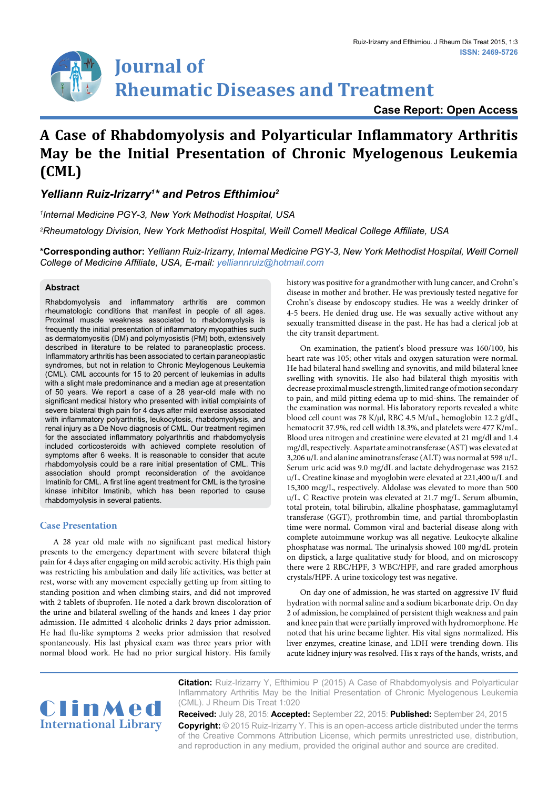# **Journal of Rheumatic Diseases and Treatment**

### **Case Report: Open Access**

# **A Case of Rhabdomyolysis and Polyarticular Inflammatory Arthritis May be the Initial Presentation of Chronic Myelogenous Leukemia (CML)**

## *Yelliann Ruiz-Irizarry1 \* and Petros Efthimiou2*

*1 Internal Medicine PGY-3, New York Methodist Hospital, USA*

*2 Rheumatology Division, New York Methodist Hospital, Weill Cornell Medical College Affiliate, USA*

**\*Corresponding author:** *Yelliann Ruiz-Irizarry, Internal Medicine PGY-3, New York Methodist Hospital, Weill Cornell College of Medicine Affiliate, USA, E-mail: yelliannruiz@hotmail.com*

#### **Abstract**

Rhabdomyolysis and inflammatory arthritis are common rheumatologic conditions that manifest in people of all ages. Proximal muscle weakness associated to rhabdomyolysis is frequently the initial presentation of inflammatory myopathies such as dermatomyositis (DM) and polymyosistis (PM) both, extensively described in literature to be related to paraneoplastic process. Inflammatory arthritis has been associated to certain paraneoplastic syndromes, but not in relation to Chronic Meylogenous Leukemia (CML). CML accounts for 15 to 20 percent of leukemias in adults with a slight male predominance and a median age at presentation of 50 years. We report a case of a 28 year-old male with no significant medical history who presented with initial complaints of severe bilateral thigh pain for 4 days after mild exercise associated with inflammatory polyarthritis, leukocytosis, rhabdomyolysis, and renal injury as a De Novo diagnosis of CML. Our treatment regimen for the associated inflammatory polyarthritis and rhabdomyolysis included corticosteroids with achieved complete resolution of symptoms after 6 weeks. It is reasonable to consider that acute rhabdomyolysis could be a rare initial presentation of CML. This association should prompt reconsideration of the avoidance Imatinib for CML. A first line agent treatment for CML is the tyrosine kinase inhibitor Imatinib, which has been reported to cause rhabdomyolysis in several patients.

#### **Case Presentation**

A 28 year old male with no significant past medical history presents to the emergency department with severe bilateral thigh pain for 4 days after engaging on mild aerobic activity. His thigh pain was restricting his ambulation and daily life activities, was better at rest, worse with any movement especially getting up from sitting to standing position and when climbing stairs, and did not improved with 2 tablets of ibuprofen. He noted a dark brown discoloration of the urine and bilateral swelling of the hands and knees 1 day prior admission. He admitted 4 alcoholic drinks 2 days prior admission. He had flu-like symptoms 2 weeks prior admission that resolved spontaneously. His last physical exam was three years prior with normal blood work. He had no prior surgical history. His family

history was positive for a grandmother with lung cancer, and Crohn's disease in mother and brother. He was previously tested negative for Crohn's disease by endoscopy studies. He was a weekly drinker of 4-5 beers. He denied drug use. He was sexually active without any sexually transmitted disease in the past. He has had a clerical job at the city transit department.

On examination, the patient's blood pressure was 160/100, his heart rate was 105; other vitals and oxygen saturation were normal. He had bilateral hand swelling and synovitis, and mild bilateral knee swelling with synovitis. He also had bilateral thigh myositis with decrease proximal muscle strength, limited range of motion secondary to pain, and mild pitting edema up to mid-shins. The remainder of the examination was normal. His laboratory reports revealed a white blood cell count was 78 K/µl, RBC 4.5 M/uL, hemoglobin 12.2 g/dL, hematocrit 37.9%, red cell width 18.3%, and platelets were 477 K/mL. Blood urea nitrogen and creatinine were elevated at 21 mg/dl and 1.4 mg/dl, respectively. Aspartate aminotransferase (AST) was elevated at 3,206 u/L and alanine aminotransferase (ALT) was normal at 598 u/L. Serum uric acid was 9.0 mg/dL and lactate dehydrogenase was 2152 u/L. Creatine kinase and myoglobin were elevated at 221,400 u/L and 15,300 mcg/L, respectively. Aldolase was elevated to more than 500 u/L. C Reactive protein was elevated at 21.7 mg/L. Serum albumin, total protein, total bilirubin, alkaline phosphatase, gammaglutamyl transferase (GGT), prothrombin time, and partial thromboplastin time were normal. Common viral and bacterial disease along with complete autoimmune workup was all negative. Leukocyte alkaline phosphatase was normal. The urinalysis showed 100 mg/dL protein on dipstick, a large qualitative study for blood, and on microscopy there were 2 RBC/HPF, 3 WBC/HPF, and rare graded amorphous crystals/HPF. A urine toxicology test was negative.

On day one of admission, he was started on aggressive IV fluid hydration with normal saline and a sodium bicarbonate drip. On day 2 of admission, he complained of persistent thigh weakness and pain and knee pain that were partially improved with hydromorphone. He noted that his urine became lighter. His vital signs normalized. His liver enzymes, creatine kinase, and LDH were trending down. His acute kidney injury was resolved. His x rays of the hands, wrists, and



**Citation:** Ruiz-Irizarry Y, Efthimiou P (2015) A Case of Rhabdomyolysis and Polyarticular Inflammatory Arthritis May be the Initial Presentation of Chronic Myelogenous Leukemia (CML). J Rheum Dis Treat 1:020

**Received:** July 28, 2015: **Accepted:** September 22, 2015: **Published:** September 24, 2015 **Copyright:** © 2015 Ruiz-Irizarry Y. This is an open-access article distributed under the terms of the Creative Commons Attribution License, which permits unrestricted use, distribution, and reproduction in any medium, provided the original author and source are credited.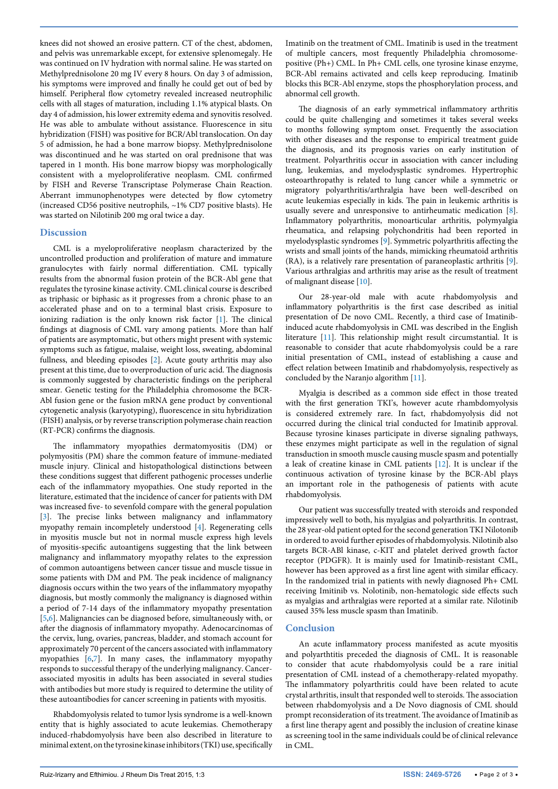knees did not showed an erosive pattern. CT of the chest, abdomen, and pelvis was unremarkable except, for extensive splenomegaly. He was continued on IV hydration with normal saline. He was started on Methylprednisolone 20 mg IV every 8 hours. On day 3 of admission, his symptoms were improved and finally he could get out of bed by himself. Peripheral flow cytometry revealed increased neutrophilic cells with all stages of maturation, including 1.1% atypical blasts. On day 4 of admission, his lower extremity edema and synovitis resolved. He was able to ambulate without assistance. Fluorescence in situ hybridization (FISH) was positive for BCR/Abl translocation. On day 5 of admission, he had a bone marrow biopsy. Methylprednisolone was discontinued and he was started on oral prednisone that was tapered in 1 month. His bone marrow biopsy was morphologically consistent with a myeloproliferative neoplasm. CML confirmed by FISH and Reverse Transcriptase Polymerase Chain Reaction. Aberrant immunophenotypes were detected by flow cytometry (increased CD56 positive neutrophils, ~1% CD7 positive blasts). He was started on Nilotinib 200 mg oral twice a day.

#### **Discussion**

CML is a myeloproliferative neoplasm characterized by the uncontrolled production and proliferation of mature and immature granulocytes with fairly normal differentiation. CML typically results from the abnormal fusion protein of the BCR-Abl gene that regulates the tyrosine kinase activity. CML clinical course is described as triphasic or biphasic as it progresses from a chronic phase to an accelerated phase and on to a terminal blast crisis. Exposure to ionizing radiation is the only known risk factor [[1\]](#page-2-0). The clinical findings at diagnosis of CML vary among patients. More than half of patients are asymptomatic, but others might present with systemic symptoms such as fatigue, malaise, weight loss, sweating, abdominal fullness, and bleeding episodes [[2](#page-2-1)]. Acute gouty arthritis may also present at this time, due to overproduction of uric acid. The diagnosis is commonly suggested by characteristic findings on the peripheral smear. Genetic testing for the Philadelphia chromosome the BCR-Abl fusion gene or the fusion mRNA gene product by conventional cytogenetic analysis (karyotyping), fluorescence in situ hybridization (FISH) analysis, or by reverse transcription polymerase chain reaction (RT-PCR) confirms the diagnosis.

The inflammatory myopathies dermatomyositis (DM) or polymyositis (PM) share the common feature of immune-mediated muscle injury. Clinical and histopathological distinctions between these conditions suggest that different pathogenic processes underlie each of the inflammatory myopathies. One study reported in the literature, estimated that the incidence of cancer for patients with DM was increased five- to sevenfold compare with the general population [[3\]](#page-2-2). The precise links between malignancy and inflammatory myopathy remain incompletely understood [[4\]](#page-2-3). Regenerating cells in myositis muscle but not in normal muscle express high levels of myositis-specific autoantigens suggesting that the link between malignancy and inflammatory myopathy relates to the expression of common autoantigens between cancer tissue and muscle tissue in some patients with DM and PM. The peak incidence of malignancy diagnosis occurs within the two years of the inflammatory myopathy diagnosis, but mostly commonly the malignancy is diagnosed within a period of 7-14 days of the inflammatory myopathy presentation [[5,](#page-2-4)[6](#page-2-5)]. Malignancies can be diagnosed before, simultaneously with, or after the diagnosis of inflammatory myopathy. Adenocarcinomas of the cervix, lung, ovaries, pancreas, bladder, and stomach account for approximately 70 percent of the cancers associated with inflammatory myopathies [\[6,](#page-2-5)[7](#page-2-6)]. In many cases, the inflammatory myopathy responds to successful therapy of the underlying malignancy. Cancerassociated myositis in adults has been associated in several studies with antibodies but more study is required to determine the utility of these autoantibodies for cancer screening in patients with myositis.

Rhabdomyolysis related to tumor lysis syndrome is a well-known entity that is highly associated to acute leukemias. Chemotherapy induced-rhabdomyolysis have been also described in literature to minimal extent, on the tyrosine kinase inhibitors (TKI) use, specifically Imatinib on the treatment of CML. Imatinib is used in the treatment of multiple cancers, most frequently Philadelphia chromosomepositive (Ph+) CML. In Ph+ CML cells, one tyrosine kinase enzyme, [BCR-Abl](https://en.wikipedia.org/wiki/Philadelphia_chromosome) remains activated and cells keep reproducing. Imatinib blocks this BCR-Abl enzyme, stops the phosphorylation process, and abnormal cell growth.

The diagnosis of an early symmetrical inflammatory arthritis could be quite challenging and sometimes it takes several weeks to months following symptom onset. Frequently the association with other diseases and the response to empirical treatment guide the diagnosis, and its prognosis varies on early institution of treatment. Polyarthritis occur in association with cancer including lung, leukemias, and myelodysplastic syndromes. Hypertrophic osteoarthropathy is related to lung cancer while a symmetric or migratory polyarthritis/arthralgia have been well-described on acute leukemias especially in kids. The pain in leukemic arthritis is usually severe and unresponsive to antirheumatic medication [\[8\]](#page-2-7). Inflammatory polyarthritis, monoarticular arthritis, polymyalgia rheumatica, and relapsing polychondritis had been reported in myelodysplastic syndromes [[9](#page-2-8)]. Symmetric polyarthritis affecting the wrists and small joints of the hands, mimicking rheumatoid arthritis (RA), is a relatively rare presentation of paraneoplastic arthritis [\[9\]](#page-2-8). Various arthralgias and arthritis may arise as the result of treatment of malignant disease [\[10\]](#page-2-9).

Our 28-year-old male with acute rhabdomyolysis and inflammatory polyarthritis is the first case described as initial presentation of De novo CML. Recently, a third case of Imatinibinduced acute rhabdomyolysis in CML was described in the English literature [\[11\]](#page-2-10). This relationship might result circumstantial. It is reasonable to consider that acute rhabdomyolysis could be a rare initial presentation of CML, instead of establishing a cause and effect relation between Imatinib and rhabdomyolysis, respectively as concluded by the Naranjo algorithm [\[11\]](#page-2-10).

Myalgia is described as a common side effect in those treated with the first generation TKI's, however acute rhambdomyolysis is considered extremely rare. In fact, rhabdomyolysis did not occurred during the clinical trial conducted for Imatinib approval. Because tyrosine kinases participate in diverse signaling pathways, these enzymes might participate as well in the regulation of signal transduction in smooth muscle causing muscle spasm and potentially a leak of creatine kinase in CML patients [\[12\]](#page-2-11). It is unclear if the continuous activation of tyrosine kinase by the BCR-Abl plays an important role in the pathogenesis of patients with acute rhabdomyolysis.

Our patient was successfully treated with steroids and responded impressively well to both, his myalgias and polyarthritis. In contrast, the 28 year-old patient opted for the second generation TKI Nilotonib in ordered to avoid further episodes of rhabdomyolysis. Nilotinib also targets BCR-ABl kinase, c-KIT and platelet derived growth factor receptor (PDGFR). It is mainly used for Imatinib-resistant CML, however has been approved as a first line agent with similar efficacy. In the randomized trial in patients with newly diagnosed Ph+ CML receiving Imitinib vs. Nolotinib, non-hematologic side effects such as myalgias and arthralgias were reported at a similar rate. Nilotinib caused 35% less muscle spasm than Imatinib.

#### **Conclusion**

An acute inflammatory process manifested as acute myositis and polyarthtitis preceded the diagnosis of CML. It is reasonable to consider that acute rhabdomyolysis could be a rare initial presentation of CML instead of a chemotherapy-related myopathy. The inflammatory polyarthritis could have been related to acute crystal arthritis, insult that responded well to steroids. The association between rhabdomyolysis and a De Novo diagnosis of CML should prompt reconsideration of its treatment. The avoidance of Imatinib as a first line therapy agent and possibly the inclusion of creatine kinase as screening tool in the same individuals could be of clinical relevance in CML.